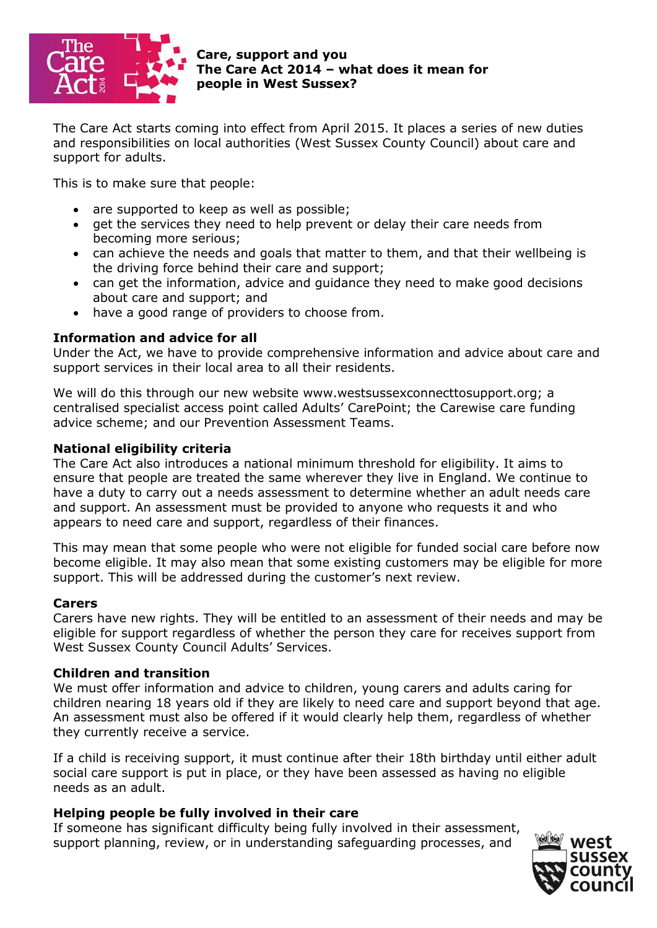

**Care, support and you The Care Act 2014 – what does it mean for people in West Sussex?** 

The Care Act starts coming into effect from April 2015. It places a series of new duties and responsibilities on local authorities (West Sussex County Council) about care and support for adults.

This is to make sure that people:

- are supported to keep as well as possible;
- o get the services they need to help prevent or delay their care needs from becoming more serious;
- can achieve the needs and goals that matter to them, and that their wellbeing is the driving force behind their care and support;
- can get the information, advice and guidance they need to make good decisions about care and support; and
- have a good range of providers to choose from.

# **Information and advice for all**

Under the Act, we have to provide comprehensive information and advice about care and support services in their local area to all their residents.

We will do this through our new website www.westsussexconnecttosupport.org; a centralised specialist access point called Adults' CarePoint; the Carewise care funding advice scheme; and our Prevention Assessment Teams.

# **National eligibility criteria**

The Care Act also introduces a national minimum threshold for eligibility. It aims to ensure that people are treated the same wherever they live in England. We continue to have a duty to carry out a needs assessment to determine whether an adult needs care and support. An assessment must be provided to anyone who requests it and who appears to need care and support, regardless of their finances.

This may mean that some people who were not eligible for funded social care before now become eligible. It may also mean that some existing customers may be eligible for more support. This will be addressed during the customer's next review.

### **Carers**

Carers have new rights. They will be entitled to an assessment of their needs and may be eligible for support regardless of whether the person they care for receives support from West Sussex County Council Adults' Services.

# **Children and transition**

We must offer information and advice to children, young carers and adults caring for children nearing 18 years old if they are likely to need care and support beyond that age. An assessment must also be offered if it would clearly help them, regardless of whether they currently receive a service.

If a child is receiving support, it must continue after their 18th birthday until either adult social care support is put in place, or they have been assessed as having no eligible needs as an adult.

### **Helping people be fully involved in their care**

If someone has significant difficulty being fully involved in their assessment, support planning, review, or in understanding safeguarding processes, and